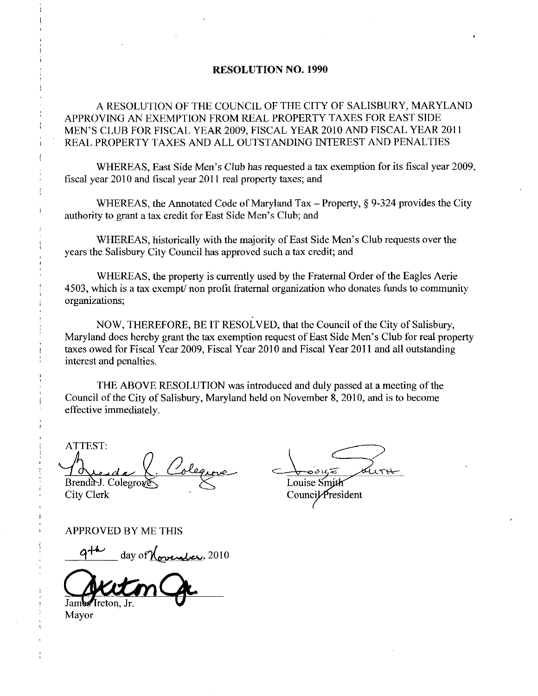## RESOLUTION NO. 1990

A RESOLUTION OF THE COUNCIL OF THE CITY OF SALISBURY, MARYLAND APPROVING AN EXEMPTION FROM REAL PROPERTY TAXES FOR EAST SIDE A RESOLUTION OF THE COUNCIL OF THE CITY OF SALISBURY, MARYLAN<br>APPROVING AN EXEMPTION FROM REAL PROPERTY TAXES FOR EAST SIDE<br>MEN'S CLUB FOR FISCAL YEAR 2009, FISCAL YEAR 2010 AND FISCAL YEAR 2011<br>REAL PROPERTY TAXES AND ALL MEN'S CLUB FOR FISCAL YEAR 2009, FISCAL YEAR 2010 AND FISCAL YEAR 2011<br>REAL PROPERTY TAXES AND ALL OUTSTANDING INTEREST AND PENALTIES

WHEREAS, East Side Men's Club has requested a tax exemption for its fiscal year 2009,

fiscal year 2010 and fiscal year 2011 real property taxes; and<br>WHEREAS, the Annotated Code of Maryland Tax –<br>authority to grant a tax credit for East Side Men's Club; and WHEREAS, the Annotated Code of Maryland Tax – Property,  $\S$  9-324 provides the City authority to grant a tax credit for East Side Men's Club; and

WHEREAS, historically with the majority of East Side Men's Club requests over the years the Salisbury City Council has approved such a tax credit; and

WHEREAS, the property is currently used by the Fraternal Order of the Eagles Aerie 4503, which is a tax exempt/ non profit fraternal organization who donates funds to community organizations

NOW, THEREFORE, BE IT RESOLVED, that the Council of the City of Salisbury, Maryland does hereby grant the tax exemption request of East Side Men's Club for real property taxes owed for Fiscal Year 2009, Fiscal Year 2010 and Fiscal Year 2011 and all outstanding interest and penalties

THE ABOVE RESOLUTION was introduced and duly passed at ameeting of the Council of the City of Salisbury, Maryland held on November 8, 2010, and is to become effective immediately

ATTEST Brenda-J. Colegrove

City Clerk

i

Louise Smi

Council *President* 

APPROVED BY ME THIS

Aude X. Colegrove<br>mda-J. Colegroves  $\times$ <br>PROVED BY ME THIS<br>9<sup>+4</sup> day of November, 2010 Jam Freton, Jr.

Mayor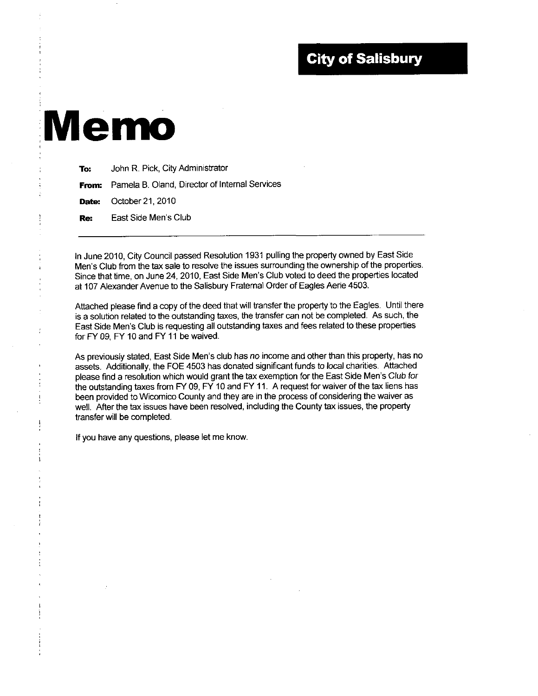## **City of Salisbury**

## Memo

| To: | John R. Pick, City Administrator                     |  |
|-----|------------------------------------------------------|--|
|     | From: Pamela B. Oland, Director of Internal Services |  |
|     | <b>Date:</b> October 21, 2010                        |  |
| Re: | East Side Men's Club                                 |  |
|     |                                                      |  |

In June 2010, City Council passed Resolution 1931 pulling the property owned by East Side In June 2010, City Council passed Resolution 1931 pulling the property owned by East Side<br>Men's Club from the tax sale to resolve the issues surrounding the ownership of the properties<br>Since that time, on June 24, 2010, Ea In June 2010, City Council passed Resolution 1931 pulling the property owned by East Side<br>Men's Club from the tax sale to resolve the issues surrounding the ownership of the propertie<br>Since that time, on June 24, 2010, Eas at 107 Alexander Avenue to the Salisbury Fraternal Order of Eagles Aerie 4503.

Attached please find a copy of the deed that will transfer the property to the Eagles Until there is a solution related to the outstanding taxes, the transfer can not be completed. As such, the Attached please find a copy of the deed that will transfer the property to the Eagles. Until the<br>is a solution related to the outstanding taxes, the transfer can not be completed. As such, the<br>East Side Men's Club is reque for FY 09 FY <sup>10</sup> and FY <sup>11</sup> be waived East Side Men's Club is requesting all outstanding taxes and fees related to these properties<br>for FY 09, FY 10 and FY 11 be waived.<br>As previously stated, East Side Men's club has no income and other than this property, has

assets Additionally the FOE 4503 has donated significant funds to bcal charities Attached please find a resolution which would grant the tax exemption for the East Side Men's Club for the outstanding taxes from FY 09, FY 10 and FY 11. A request for waiver of the tax liens has been provided to Wicomico County and they are in the process of considering the waiver as well. After the tax issues have been resolved, including the County tax issues, the property transfer will be completed

If you have any questions, please let me know.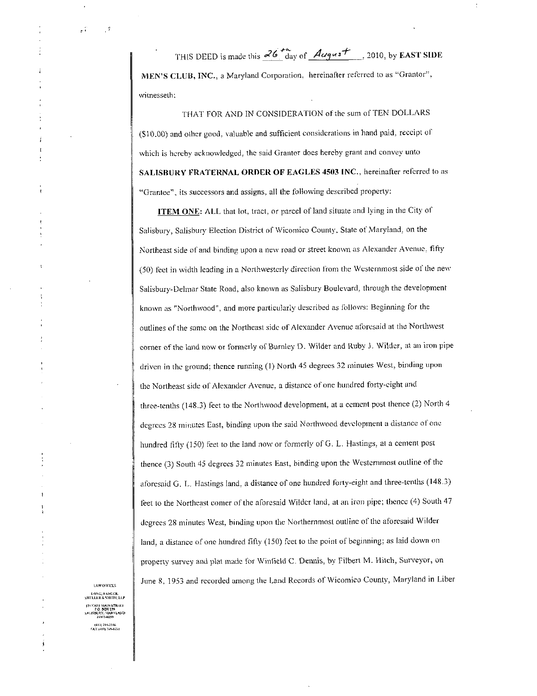$\overline{r}$ THIS DEED is made this  $\frac{26 \text{ H}_{\text{day of}}}{\text{day of}}$   $\frac{\text{August}}{\text{day of}}$ , 2010, by EAST SIDE MEN'S CLUB, INC., a Maryland Corporation, hereinafter referred to as "Grantor", witnesseth:

THAT FOR AND IN CONSIDERATION of the sum of TEN DOLLARS (\$10.00) and other good, valuable and sufficient considerations in hand paid, receipt of which is hereby acknowledged, the said Grantor does hereby grant and convey unto THIS DEED is made this  $\frac{26}{100}$  of  $\frac{4q\mu s f}{2}$ , 2010, by EAST SIDE<br>MEN'S CLUB, INC., a Maryland Corporation, hereinafter referred to as "Grantor",<br>witnesseth:<br>THAT FOR AND IN CONSIDERATION of the sum of TEN DOLLARS "Grantee", its successors and assigns, all the following described property:

ITEM ONE: ALL that lot, tract, or parcel of land situate and lying in the City of Salisbury, Salisbury Election District of Wicomico County, State of Maryland, on the Northeast side of and binding upon a new road or street known as Alexander Avenue, fifty Salisbury, Salisbury Election District of Wicomico County, State of Maryland, on the<br>Northeast side of and binding upon a new road or street known as Alexander Avenue, fifty<br>(50) feet in width leading in a Northwesterly di Salisbury-Delmar State Road, also known as Salisbury Boulevard, through the development known as "Northwood", and more particularly described as follows: Beginning for the outlines of the same on the Northeast side of Alexander Avenue aforesaid at the Northwest corner of the land now or formerly of Burnley D. Wilder and Ruby J. Wilder, at an iron pipe corner of the land now or formerly of B<br>driven in the ground; thence running (1) North 45 degrees 32 minutes West, binding upon the Northeast side of Alexander Avenue, a distance of one hundred forty-cight and Northeast side of and binding upon a new road or street known as Alexander Avenue, fifty<br>(50) foet in width leading in a Northwesterly direction from the Westernmost side of the nev<br>Salisbury-Delmar State Road, also known three-tenths (148.3) feet to the Northwood development, at a cement post thence (2) North 4 degrees 28 minutes East, binding upon the said Northwood development a distance of one hundred fifty (150) feet to the land now or formerly of G. L. Hastings, at a cement post thence (3) South 45 degrees 32 minutes East, binding upon the Westernmost outline of the aforesaid G. L. Hastings land, a distance of one hundred forty-eight and three-tenths (148.3) feet to the Northeast comer of the aforesaid Wilder land, at an iron pipe; thence (4) South 47 degrees 28 minutes West, binding upon the Northernmost outline of the aforesaid Wilder land, a distance of one hundred fifty (150) feet to the point of beginning; as laid down on property survey and plat made for Winfield C. Dennis, by Filbert M. Hitch, Surveyor, on June 8, 1953 and recorded among the Land Records of Wicomico County, Maryland in Liber

LAW OFFICES<br>QNG, BADGER,<br>LEK & SMITH, LLP LAW OFFICES<br>LONG, BADGER,<br>SHELLEK & SMITH, LL<br>FA NAST MAIN STREE.<br>P.O. BOX 339<br>SALISBERY, MARVLAN<br>SSALISBERY, MARVLAN FELER & SMIDS, ELP<br>FAST MAIN STREEI<br>F.O. BOX 259<br>ISBNRY, MARYLAND<br>21803-0259<br>(410) 719-8731<br>FAX (410) 749-8731

 $\mathcal{L}^{\mathcal{L}}$ 

 $\cdot$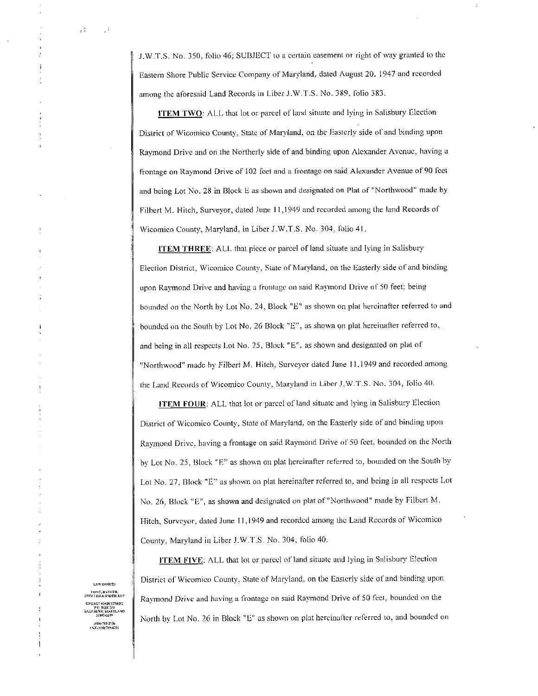J.W.T.S. No. 350, folio 46; SUBJECT to a certain easement or right of way granted to the Eastern Shore Public Service Company of Maryland, dated August 20, 1947 and recorded J.W.T.S. No. 350, folio 46; SUBJECT to a certain easement or right of vertex Context Company of Maryland, dated August 20, 19 among the aforesaid Land Records in Liber J.W.T.S. No. 389, folio 383.

ITEM TWO: ALL that lot or parcel of land situate and lying in Salisbury Election District of Wicomico County, State of Maryland, on the Easterly side of and binding upon Raymond Drive and on the Northerly side of and binding upon Alexander Avenue having <sup>a</sup> frontage on Raymond Drive of 102 feet and a frontage on said Alexander Avenue of 90 feet and being Lot No. 28 in Block E as shown and designated on Plat of "Northwood" made by Filbert M. Hitch, Surveyor, dated June 11,1949 and recorded among the land Records of Wicomico County, Maryland, in Liber J.W.T.S. No. 304, folio 41. Wicomico County, Maryland, in Liber J.W.T.S. No. 304, folio 41.<br>ITEM THREE: ALL that piece or parcel of land situate and lying in Salisbury

Election District, Wicomico County, State of Maryland, on the Easterly side of and binding upon Raymond Drive and having a frontage on said Raymond Drive of 50 feet; being bounded on the North by Lot No. 24, Block "E" as shown on plat hereinafter referred to and bounded on the South by Lot No. 26 Block  $E^{\prime\prime}$ , as shown on plat hereinafter referred to, and being in all respects Lot No. 25, Block  $"E"$ , as shown and designated on plat of "Northwood" made by Filbert M. Hitch, Surveyor dated June 11,1949 and recorded among the Land Records of Wicomico County, Maryland in Liber J.W.T.S. No. 304, folio 40.

ITEM FOUR: ALL that lot or parcel of land situate and lying in Salisbury Election District of Wicomico County, State of Maryland, on the Easterly side of and binding upon Raymond Drive, having a frontage on said Raymond Drive of 50 feet, bounded on the North by Lot No. 25, Block "E" as shown on plat hereinafter referred to, bounded on the South by Lot No. 27, Block "E" as shown on plat hereinafter referred to, and being in all respects Lot by Lot No. 25, Block "E" as shown on plat hereinafter referred to, bounded on the South<br>Lot No. 27, Block "E" as shown on plat hereinafter referred to, and being in all respects is<br>No. 26, Block "E", as shown and designate Hitch, Surveyor, dated June 11,1949 and recorded among the Land Records of Wicomico Hitch, Surveyor, dated June 11,1949 and recorded amor<br>County, Maryland in Liber J.W.T.S. No. 304, folio 40.

LAW OFFICES<br>
1 UNC, BADICER,<br>
5REC.LEN & SMITH, LL<br>
124 EAST MAIN STREET<br>
9 NOX 159<br>
211501-0239<br>
211501-0239

 $\cdot$  1

 $\mathbb{R}^3$ 

ITEM FIVE: ALL that lot or parcel of land situate and lying in Salisbury Election County, Maryland in Liber J.W.T.S. No. 304, folio 40.<br>ITEM FIVE: ALL that lot or parcel of land situate and lying in Salisbury Election<br>District of Wicomico County, State of Maryland, on the Easterly side of and binding up Raymond Drive and having a frontage on said Raymond Drive of 50 feet, bounded on the North by Lot No. 26 in Block "E" as shown on plat hereinafter referred to, and bounded on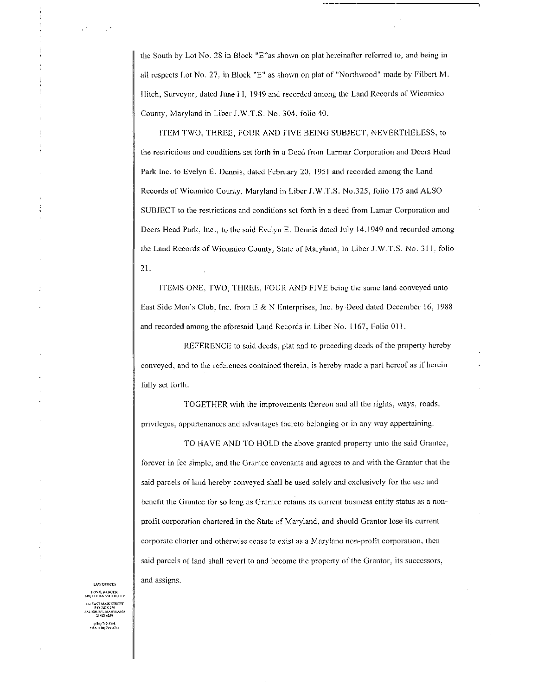the South by Lot No. 28 in Block "E"as shown on plat hereinafter referred to, and being in all respects Lot No. 27, in Block "E" as shown on plat of "Northwood" made by Filbert M. the South by Lot No. 28 in Bloc<br>all respects Lot No. 27, in Block<br>Hitch, Surveyor, dated June I I,<br>County, Maryland in Liber J.W Hitch, Surveyor, dated June 11, 1949 and recorded among the Land Records of Wicomico County, Maryland in Liber J.W.T.S. No. 304, folio 40. all respects Lot No. 27, in Block "E" as shown on plat of "Northwood" made by Filbert M.<br>Hitch, Surveyor, dated June 11, 1949 and recorded among the Land Records of Wicomico<br>County, Maryland in Liber J.W.T.S. No. 304, foli

Park Inc. to Evelyn E. Dennis, dated February 20, 1951 and recorded among the Land E as shown on plat neternance received to, and being<br>all respects Lot No. 27, in Block "E" as shown on plat of "Northwood" made by Filbert I-<br>Hitch, Surveyor, dated June 11, 1949 and recorded among the Land Records of Wico SUBJECT to the restrictions and conditions set forth in a deed from Lamar Corporation and Records of Wicomico County, Maryland in Liber J.W.T.S. No.325, folio 175 and ALSO<br>SUBJECT to the restrictions and conditions set forth in a deed from Lamar Corporation and<br>Deers Head Park, Inc., to the said Evelyn E. Denni the Land Records of Wicomico County, State of Maryland, in Liber J.W.T.S. No. 311, folio 21

ITEMS ONE, TWO, THREE, FOUR AND FIVE being the same land conveyed unto ITEMS ONE, TWO, THREE, FOUR AND FIVE being the same land conveyed unto<br>East Side Men's Club, Inc. from E & N Enterprises, Inc. by Deed dated December 16, 1988 East Side Men's Club, Inc. from E & N Enterprises, Inc. by Deed dated Decords and recorded among the aforesaid Land Records in Liber No. 1167, Folio 01

REFERENCE to said deeds, plat and to preceding deeds of the property hereby conveyed, and to the references contained therein, is hereby made a part hereof as if herein fully set forth

TOGETHER with the improvements thereon and all the rights, ways, roads,<br>ppurtenances and advantages thereto belonging or in any way appertaining.<br>TO HAVE AND TO HOLD the above granted property unto the said Grantee privileges, appurtenances and advantages thereto belonging or in any way appertaining.

forever in fee simple, and the Grantee covenants and agrees to and with the Grantor that the said parcels of land hereby conveyed shall he used solely and exclusively for the use and benefit the Grantee for so long as Grantee retains its current business entity status as a nonprofit corporation chartered in the State of Maryland, and should Grantor lose its current corporate charter and otherwise cease to exist as a Maryland non-profit corporation, then said parcels of land shall revert to and become the property of the Grantor, its successors, and assigns.

LAW OFFICES<br>LONG, BABGER,<br>HELLER & SWITH, LLP 1531<br>
1531<br>
21803-0259<br>
(410) 749-2356<br>
FAX (410) 749-87 124 BAST MAIN STREET<br>P.O. BOX 239<br>(ALISBURY, MARYLAND<br>21:603-0239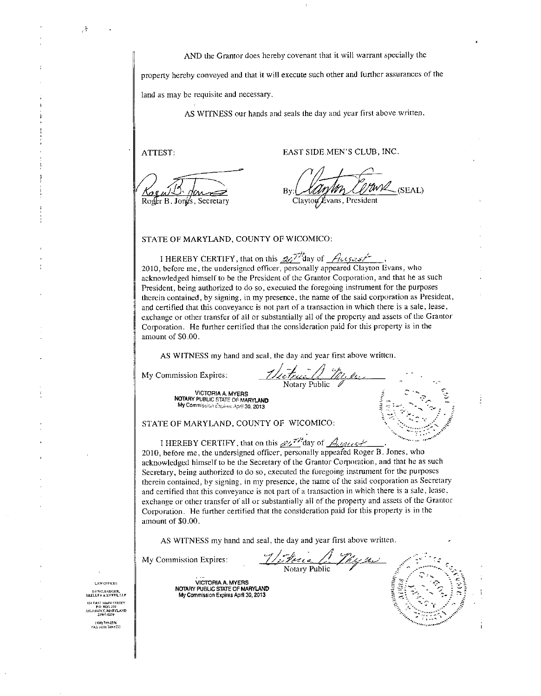AND the Grantor does hereby covenant that it will warrant specially the

property hereby conveyed and that it will execute such other and further assurances of the land as may be requisite and necessary.

AS WITNESS our hands and seals the day and year first above written. AS WITNESS our hands and seals the day and year first above<br>ATTEST:<br>EAST SIDE MEN'S CLUB, INC.

ي.<br>7

"(а г Roger B. Jongs, Secretary Clayton Clayton, President

**UWA** (SEAL)

STATE OF MARYLAND, COUNTY OF WICOMICO:

STATE OF MARYLAND, COUNTY OF WICOMICO:<br>
I HEREBY CERTIFY, that on this  $Z\overline{Z'}$  day of  $\overline{f}(c_1c_2c_3c_4)$ ,<br>
2010, before me, the undersigned officer, personally appeared Clayton Evans, who<br>
acknowledged himself to be acknowledged himself to be the President of the Grantor Corporation, and that he as such President, being authorized to do so, executed the foregoing instrument for the purposes acknowledged himself to be the President of the Grantor Corporation, and that he as such<br>President, being authorized to do so, executed the foregoing instrument for the purposes<br>therein contained, by signing, in my presenc and certified that this conveyance is not part of a transaction in which there is a sale, lease, exchange or other transfer of all or substantially all of the property and assets of the Grantor Corporation. He further certified that the consideration paid for this property is in the amount of \$0.00. and certified that the<br>exchange or other<br>Corporation. He f<br>amount of \$0.00. Testion, being alternate to do be, because the rate of therein contained, by signing, in my presence, the name and certified that this conveyance is not part of a transsex<br>change or other transfer of all or substantially a

AS WITNESS my hand and seal, the day and year first above written.

<u>de Trees (1</u>999)<br>Notary Public

VICTORIA A. MYERS<br>NOTARY PUBLIC STATE OF MARYLAND NOTARY Public STATE OF MARYLAND<br>NOTARY PUBLIC STATE OF MARYLAND<br>My Commission Explices April 30, 2013  $M_{\text{V}}$ <br>
Motary Public  $M_{\text{V}}$ <br>
Motary Public State of MARYLAND<br>
My Commission Explose April 30, 2013<br>
My Commission Explose April 30, 2013

My Commission Expires April 30, 2013<br>STATE OF MARYLAND, COUNTY OF WICOMICO:

2010 I before HEREBY mc CERTIFY the undersigned that on officer this ersonally a<br>personally a lic<br>CO:<br>f *Adencest*<br>appeared Roger<br>tor Corporation Roger B. Jones, who acknowledged himself to be the Secretary of the Grantor Corporation, and that he as such Secretary, being authorized to do so, executed the foregoing instrument for the purposes therein contained, by signing, in my presence, the name of the said corporation as Secretary and certified that this conveyance is not part of a transaction in which there is a sale, lease, exchange or other transfer of all or substantially all of the property and assets of the Grantor Corporation. He further certified that the consideration paid for this property is in the amount of \$0.00. and certified that t<br>exchange or other<br>Corporation. He f<br>amount of \$0.00. My Commission Expires April 30, 2013<br>
My Commission Expires April 30, 2013<br>
I HEREBY CERTIFY, that on this  $\frac{1}{2}$ ,  $\frac{1}{2}$ ,  $\frac{1}{4}$ <br>
2010, before me, the undersigned officer, personally<br>
acknowledged himself to be and the property and the property distribution paid for this property.

Notary

 $\leq$ 

Gr r

y G<br>Ky

AS WITNESS my hand and seal, the day and year first above written.

تَى<br>VICTORIA A. MYERS<br>COTARY PUBLIC STATE OF MARYLAND MyCommission A. MyCommission A. MyCommission Expires<br>My PUBLIC STATE OF MARYLAND<br>My Commission Expires April 30, 2013 commission Expires April 30, 2013

**LAW OFFICES** LONG, BADGER,<br>SHELLER & SMITH, LLP 124 FAST MAIN STREET<br>PO BOX 259<br>SALESIRJRY, MARYLAND<br>21803-0259<br>(410) 749-2356<br>FAX (410) 749-8751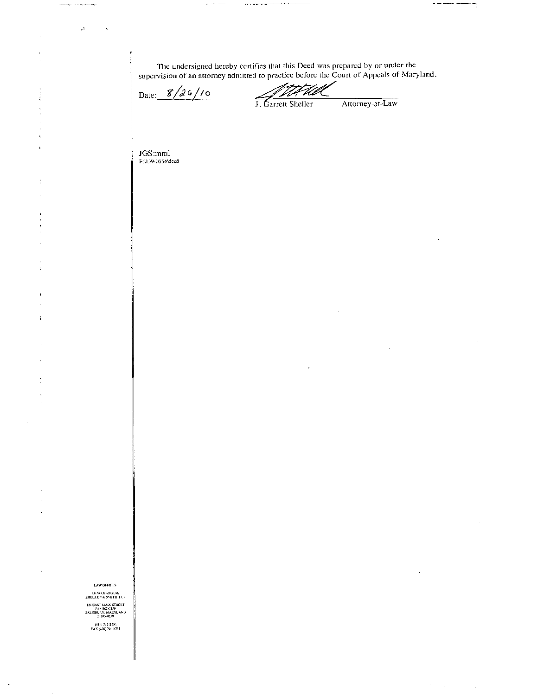The undersigned hereby certifies that this Deed was prepared by or under the supervision of an attorney admitted to practice before the Court of Appeals of Maryland.

 $\sim$   $\sim$ 

لمسابق

Date:  $8/26/10$ 

F Ull V J. Garrett Sheller

Attorney-at-Law

 $\begin{minipage}{.4\linewidth} \begin{tabular}{l} \hline \multicolumn{3}{c}{\textbf{1} } \multicolumn{3}{c}{\textbf{1} } \multicolumn{3}{c}{\textbf{1} } \multicolumn{3}{c}{\textbf{2} } \multicolumn{3}{c}{\textbf{3} } \multicolumn{3}{c}{\textbf{4} } \multicolumn{3}{c}{\textbf{5} } \multicolumn{3}{c}{\textbf{6} } \multicolumn{3}{c}{\textbf{7} } \multicolumn{3}{c}{\textbf{8} } \multicolumn{3}{c}{\textbf{9} } \multicolumn{3}{c}{\textbf{1} } \multicolumn{$ 

 $\sim$ 

 $\operatorname{JGS:mm1}\limits_{\text{F:WD-0554}\text{Vdeed}}$ 

سيدمث

 $\tilde{\mathcal{A}}$ 

l,

 $\begin{array}{c} \bullet \\ \bullet \\ \bullet \end{array}$ 

 $\overline{1}$ 

 $\ddot{\phantom{a}}$ 

Ì.

 $\ddot{\phantom{a}}$ 

LAW OFFICES

LONG, BADGER,<br>SHELLER & SMITH, LUP 124 EAST MAIN STREET<br>
P.O. BOX 159<br>
SALISBURY, MARYLAND<br>
21803-0259

(410) 749-2356<br>FAX (410) 749-879 l